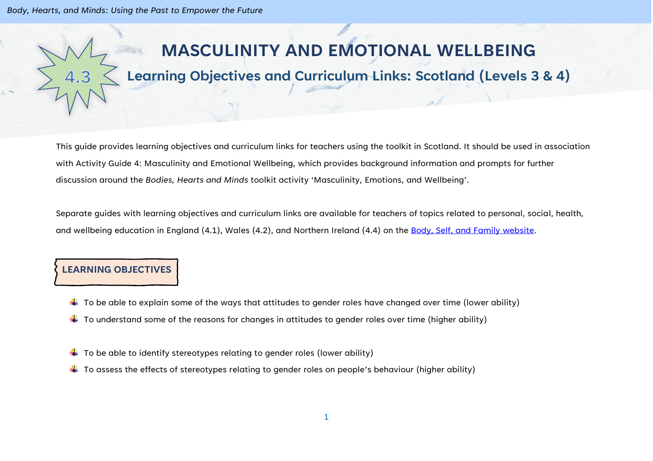*Body, Hearts, and Minds: Using the Past to Empower the Future*

# **MASCULINITY AND EMOTIONAL WELLBEING**

# **Learning Objectives and Curriculum Links: Scotland (Levels 3 & 4)**

This guide provides learning objectives and curriculum links for teachers using the toolkit in Scotland. It should be used in association with Activity Guide 4: Masculinity and Emotional Wellbeing, which provides background information and prompts for further discussion around the *Bodies, Hearts and Minds* toolkit activity 'Masculinity, Emotions, and Wellbeing'.

Separate guides with learning objectives and curriculum links are available for teachers of topics related to personal, social, health, and wellbeing education in England (4.1), Wales (4.2), and Northern Ireland (4.4) on the [Body, Self, and Family website.](https://bodyselffamily.org/)

#### **LEARNING OBJECTIVES**

- $\downarrow$  To be able to explain some of the ways that attitudes to gender roles have changed over time (lower ability)
- $\downarrow$  To understand some of the reasons for changes in attitudes to gender roles over time (higher ability)
- $\downarrow$  To be able to identify stereotypes relating to gender roles (lower ability)
- $\ddotplus$  To assess the effects of stereotypes relating to gender roles on people's behaviour (higher ability)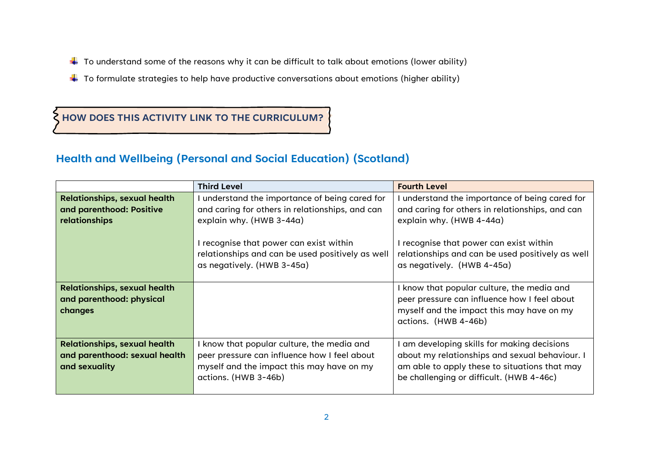- $\downarrow$  To understand some of the reasons why it can be difficult to talk about emotions (lower ability)
- $\ddot{+}$  To formulate strategies to help have productive conversations about emotions (higher ability)

### **HOW DOES THIS ACTIVITY LINK TO THE CURRICULUM?**

## **Health and Wellbeing (Personal and Social Education) (Scotland)**

|                                     | <b>Third Level</b>                               | <b>Fourth Level</b>                              |
|-------------------------------------|--------------------------------------------------|--------------------------------------------------|
| <b>Relationships, sexual health</b> | I understand the importance of being cared for   | understand the importance of being cared for     |
| and parenthood: Positive            | and caring for others in relationships, and can  | and caring for others in relationships, and can  |
| relationships                       | explain why. (HWB 3-44a)                         | explain why. (HWB 4-44a)                         |
|                                     |                                                  |                                                  |
|                                     | I recognise that power can exist within          | I recognise that power can exist within          |
|                                     | relationships and can be used positively as well | relationships and can be used positively as well |
|                                     | as negatively. (HWB 3-45a)                       | as negatively. (HWB 4-45a)                       |
|                                     |                                                  |                                                  |
| <b>Relationships, sexual health</b> |                                                  | I know that popular culture, the media and       |
| and parenthood: physical            |                                                  | peer pressure can influence how I feel about     |
| changes                             |                                                  | myself and the impact this may have on my        |
|                                     |                                                  | actions. (HWB 4-46b)                             |
|                                     |                                                  |                                                  |
| <b>Relationships, sexual health</b> | I know that popular culture, the media and       | am developing skills for making decisions        |
| and parenthood: sexual health       | peer pressure can influence how I feel about     | about my relationships and sexual behaviour. I   |
| and sexuality                       | myself and the impact this may have on my        | am able to apply these to situations that may    |
|                                     | actions. (HWB 3-46b)                             | be challenging or difficult. (HWB 4-46c)         |
|                                     |                                                  |                                                  |